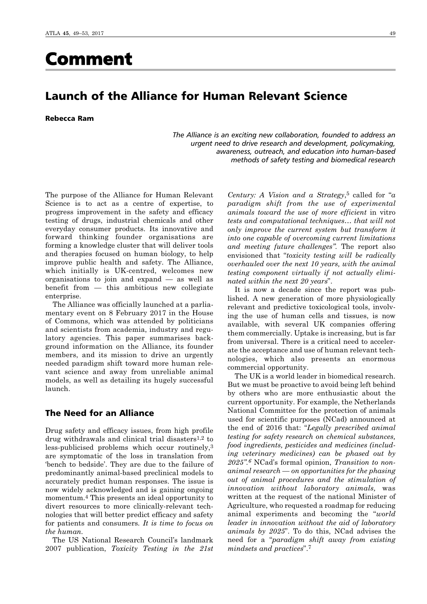# Comment

# Launch of the Alliance for Human Relevant Science

Rebecca Ram

*The Alliance is an exciting new collaboration, founded to address an urgent need to drive research and development, policymaking, awareness, outreach, and education into human-based methods of safety testing and biomedical research*

The purpose of the Alliance for Human Relevant Science is to act as a centre of expertise, to progress improvement in the safety and efficacy testing of drugs, industrial chemicals and other everyday consumer products. Its innovative and forward thinking founder organisations are forming a knowledge cluster that will deliver tools and therapies focused on human biology, to help improve public health and safety. The Alliance, which initially is UK-centred, welcomes new organisations to join and expand — as well as benefit from — this ambitious new collegiate enterprise.

The Alliance was officially launched at a parliamentary event on 8 February 2017 in the House of Commons, which was attended by politicians and scientists from academia, industry and regulatory agencies. This paper summarises background information on the Alliance, its founder members, and its mission to drive an urgently needed paradigm shift toward more human relevant science and away from unreliable animal models, as well as detailing its hugely successful launch.

# The Need for an Alliance

Drug safety and efficacy issues, from high profile drug withdrawals and clinical trial disasters1,2 to less-publicised problems which occur routinely,3 are symptomatic of the loss in translation from 'bench to bedside'. They are due to the failure of predominantly animal-based preclinical models to accurately predict human responses. The issue is now widely acknowledged and is gaining ongoing momentum.4 This presents an ideal opportunity to divert resources to more clinically-relevant technologies that will better predict efficacy and safety for patients and consumers*. It is time to focus on the human.* 

The US National Research Council's landmark 2007 publication, *Toxicity Testing in the 21st*

*Century: A Vision and a Strategy*,5 called for "*a paradigm shift from the use of experimental animals toward the use of more efficient* in vitro *tests and computational techniques… that will not only improve the current system but transform it into one capable of overcoming current limitations and meeting future challenges".* The report also envisioned that "*toxicity testing will be radically overhauled over the next 10 years, with the animal testing component virtually if not actually eliminated within the next 20 years*".

It is now a decade since the report was published. A new generation of more physiologically relevant and predictive toxicological tools, involving the use of human cells and tissues, is now available, with several UK companies offering them commercially. Uptake is increasing, but is far from universal. There is a critical need to accelerate the acceptance and use of human relevant technologies, which also presents an enormous commercial opportunity.

The UK is a world leader in biomedical research. But we must be proactive to avoid being left behind by others who are more enthusiastic about the current opportunity. For example, the Netherlands National Committee for the protection of animals used for scientific purposes (NCad) announced at the end of 2016 that: "*Legally prescribed animal testing for safety research on chemical substances, food ingredients, pesticides and medicines (including veterinary medicines) can be phased out by 2025".6* NCad's formal opinion, *Transition to nonanimal research — on opportunities for the phasing out of animal procedures and the stimulation of innovation without laboratory animals,* was written at the request of the national Minister of Agriculture, who requested a roadmap for reducing animal experiments and becoming the "*world leader in innovation without the aid of laboratory animals by 2025*". To do this, NCad advises the need for a "*paradigm shift away from existing mindsets and practices*".7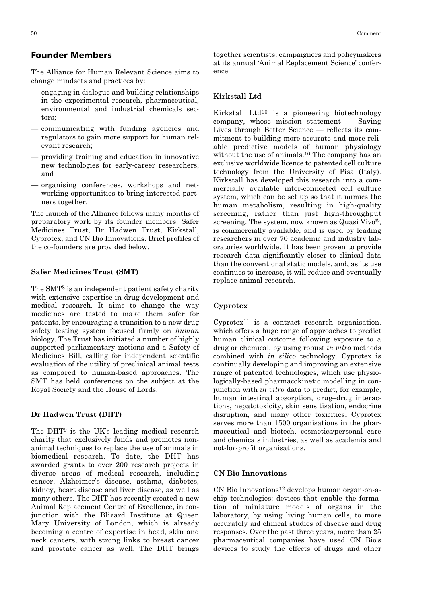The Alliance for Human Relevant Science aims to change mindsets and practices by:

- engaging in dialogue and building relationships in the experimental research, pharmaceutical, environmental and industrial chemicals sectors;
- communicating with funding agencies and regulators to gain more support for human relevant research;
- providing training and education in innovative new technologies for early-career researchers; and
- organising conferences, workshops and networking opportunities to bring interested partners together.

The launch of the Alliance follows many months of preparatory work by its founder members: Safer Medicines Trust, Dr Hadwen Trust, Kirkstall, Cyprotex, and CN Bio Innovations. Brief profiles of the co-founders are provided below.

#### **Safer Medicines Trust (SMT)**

The SMT8 is an independent patient safety charity with extensive expertise in drug development and medical research. It aims to change the way medicines are tested to make them safer for patients, by encouraging a transition to a new drug safety testing system focused firmly on *human* biology. The Trust has initiated a number of highly supported parliamentary motions and a Safety of Medicines Bill, calling for independent scientific evaluation of the utility of preclinical animal tests as compared to human-based approaches. The SMT has held conferences on the subject at the Royal Society and the House of Lords.

#### **Dr Hadwen Trust (DHT)**

The DHT9 is the UK's leading medical research charity that exclusively funds and promotes nonanimal techniques to replace the use of animals in biomedical research. To date, the DHT has awarded grants to over 200 research projects in diverse areas of medical research, including cancer, Alzheimer's disease, asthma, diabetes, kidney, heart disease and liver disease, as well as many others. The DHT has recently created a new Animal Replacement Centre of Excellence, in conjunction with the Blizard Institute at Queen Mary University of London, which is already becoming a centre of expertise in head, skin and neck cancers, with strong links to breast cancer and prostate cancer as well. The DHT brings together scientists, campaigners and policymakers at its annual 'Animal Replacement Science' conference.

#### **Kirkstall Ltd**

Kirkstall Ltd10 is a pioneering biotechnology company, whose mission statement — Saving Lives through Better Science — reflects its commitment to building more-accurate and more-reliable predictive models of human physiology without the use of animals.10 The company has an exclusive worldwide licence to patented cell culture technology from the University of Pisa (Italy). Kirkstall has developed this research into a commercially available inter-connected cell culture system, which can be set up so that it mimics the human metabolism, resulting in high-quality screening, rather than just high-throughput screening. The system, now known as Quasi Vivo®, is commercially available, and is used by leading researchers in over 70 academic and industry laboratories worldwide. It has been proven to provide research data significantly closer to clinical data than the conventional static models, and, as its use continues to increase, it will reduce and eventually replace animal research.

#### **Cyprotex**

 $Cyprotex<sup>11</sup>$  is a contract research organisation, which offers a huge range of approaches to predict human clinical outcome following exposure to a drug or chemical, by using robust *in vitro* methods combined with *in silico* technology. Cyprotex is continually developing and improving an extensive range of patented technologies, which use physiologically-based pharmacokinetic modelling in conjunction with *in vitro* data to predict, for example, human intestinal absorption, drug–drug interactions, hepatotoxicity, skin sensitisation, endocrine disruption, and many other toxicities. Cyprotex serves more than 1500 organisations in the pharmaceutical and biotech, cosmetics/personal care and chemicals industries, as well as academia and not-for-profit organisations.

#### **CN Bio Innovations**

CN Bio Innovations12 develops human organ-on-achip technologies: devices that enable the formation of miniature models of organs in the laboratory, by using living human cells, to more accurately aid clinical studies of disease and drug responses. Over the past three years, more than 25 pharmaceutical companies have used CN Bio's devices to study the effects of drugs and other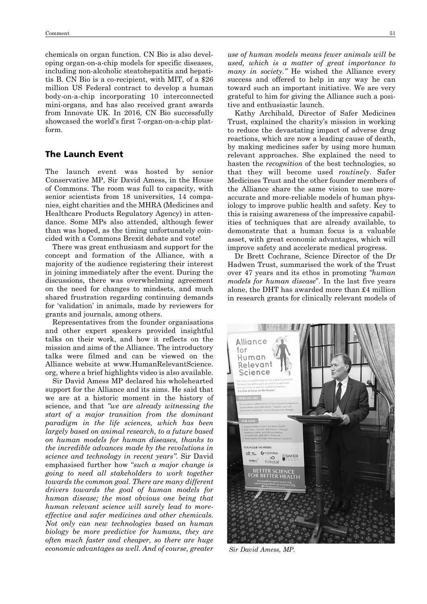chemicals on organ function. CN Bio is also developing organ-on-a-chip models for specific diseases, including non-alcoholic steatohepatitis and hepatitis B. CN Bio is a co-recipient, with MIT, of a \$26 million US Federal contract to develop a human body-on-a-chip incorporating 10 interconnected mini-organs, and has also received grant awards from Innovate UK. In 2016, CN Bio successfully showcased the world's first 7-organ-on-a-chip platform.

### The Launch Event

The launch event was hosted by senior Conservative MP, Sir David Amess, in the House of Commons. The room was full to capacity, with senior scientists from 18 universities, 14 companies, eight charities and the MHRA (Medicines and Healthcare Products Regulatory Agency) in attendance. Some MPs also attended, although fewer than was hoped, as the timing unfortunately coincided with a Commons Brexit debate and vote!

There was great enthusiasm and support for the concept and formation of the Alliance, with a majority of the audience registering their interest in joining immediately after the event. During the discussions, there was overwhelming agreement on the need for changes to mindsets, and much shared frustration regarding continuing demands for 'validation' in animals, made by reviewers for grants and journals, among others.

Representatives from the founder organisations and other expert speakers provided insightful talks on their work, and how it reflects on the mission and aims of the Alliance. The introductory talks were filmed and can be viewed on the Alliance website at www.HumanRelevantScience. org, where a brief highlights video is also available.

Sir David Amess MP declared his wholehearted support for the Alliance and its aims. He said that we are at a historic moment in the history of science, and that *"we are already witnessing the start of a major transition from the dominant paradigm in the life sciences, which has been largely based on animal research, to a future based on human models for human diseases, thanks to the incredible advances made by the revolutions in science and technology in recent years".* Sir David emphasised further how "*such a major change is going to need all stakeholders to work together towards the common goal. There are many different drivers towards the goal of human models for human disease; the most obvious one being that human relevant science will surely lead to moreeffective and safer medicines and other chemicals. Not only can new technologies based on human biology be more predictive for humans, they are often much faster and cheaper, so there are huge economic advantages as well. And of course, greater*

*use of human models means fewer animals will be used, which is a matter of great importance to many in society."* He wished the Alliance every success and offered to help in any way he can toward such an important initiative. We are very grateful to him for giving the Alliance such a positive and enthusiastic launch.

Kathy Archibald, Director of Safer Medicines Trust, explained the charity's mission in working to reduce the devastating impact of adverse drug reactions, which are now a leading cause of death, by making medicines safer by using more human relevant approaches. She explained the need to hasten the *recognition* of the best technologies, so that they will become used *routinely*. Safer Medicines Trust and the other founder members of the Alliance share the same vision to use moreaccurate and more-reliable models of human physiology to improve public health and safety. Key to this is raising awareness of the impressive capabilities of techniques that are already available, to demonstrate that a human focus is a valuable asset, with great economic advantages, which will improve safety and accelerate medical progress.

Dr Brett Cochrane, Science Director of the Dr Hadwen Trust, summarised the work of the Trust over 47 years and its ethos in promoting *"human models for human disease*". In the last five years alone, the DHT has awarded more than £4 million in research grants for clinically relevant models of



*Sir David Amess, MP.*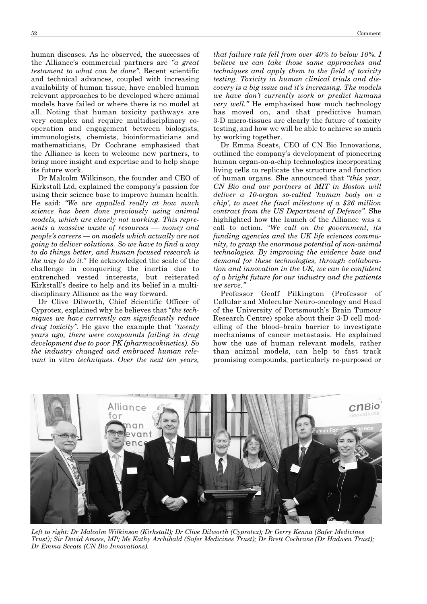human diseases. As he observed, the successes of the Alliance's commercial partners are *"a great testament to what can be done"*. Recent scientific and technical advances, coupled with increasing availability of human tissue, have enabled human relevant approaches to be developed where animal models have failed or where there is no model at all. Noting that human toxicity pathways are very complex and require multidisciplinary cooperation and engagement between biologists, immunologists, chemists, bioinformaticians and mathematicians, Dr Cochrane emphasised that the Alliance is keen to welcome new partners, to bring more insight and expertise and to help shape its future work.

Dr Malcolm Wilkinson, the founder and CEO of Kirkstall Ltd, explained the company's passion for using their science base to improve human health. He said: *"We are appalled really at how much science has been done previously using animal models, which are clearly not working. This represents a massive waste of resources — money and people's careers — on models which actually are not going to deliver solutions. So we have to find a way to do things better, and human focused research is the way to do it*." He acknowledged the scale of the challenge in conquering the inertia due to entrenched vested interests, but reiterated Kirkstall's desire to help and its belief in a multidisciplinary Alliance as the way forward.

Dr Clive Dilworth, Chief Scientific Officer of Cyprotex, explained why he believes that "*the techniques we have currently can significantly reduce drug toxicity".* He gave the example that *"twenty years ago, there were compounds failing in drug development due to poor PK (pharmacokinetics). So the industry changed and embraced human relevant* in vitro *techniques. Over the next ten years,*

*that failure rate fell from over 40% to below 10%. I believe we can take those same approaches and techniques and apply them to the field of toxicity testing. Toxicity in human clinical trials and discovery is a big issue and it's increasing. The models we have don't currently work or predict humans very well."* He emphasised how much technology has moved on, and that predictive human 3-D micro-tissues are clearly the future of toxicity testing, and how we will be able to achieve so much by working together.

Dr Emma Sceats, CEO of CN Bio Innovations, outlined the company's development of pioneering human organ-on-a-chip technologies incorporating living cells to replicate the structure and function of human organs. She announced that "*this year, CN Bio and our partners at MIT in Boston will deliver a 10-organ so-called 'human body on a chip', to meet the final milestone of a \$26 million contract from the US Department of Defence".* She highlighted how the launch of the Alliance was a call to action. "*We call on the government, its funding agencies and the UK life sciences community, to grasp the enormous potential of non-animal technologies. By improving the evidence base and demand for these technologies, through collaboration and innovation in the UK, we can be confident of a bright future for our industry and the patients we serve."*

Professor Geoff Pilkington (Professor of Cellular and Molecular Neuro-oncology and Head of the University of Portsmouth's Brain Tumour Research Centre) spoke about their 3-D cell modelling of the blood–brain barrier to investigate mechanisms of cancer metastasis. He explained how the use of human relevant models, rather than animal models, can help to fast track promising compounds, particularly re-purposed or



*Left to right: Dr Malcolm Wilkinson (Kirkstall); Dr Clive Dilworth (Cyprotex); Dr Gerry Kenna (Safer Medicines Trust); Sir David Amess, MP; Ms Kathy Archibald (Safer Medicines Trust); Dr Brett Cochrane (Dr Hadwen Trust); Dr Emma Sceats (CN Bio Innovations).*